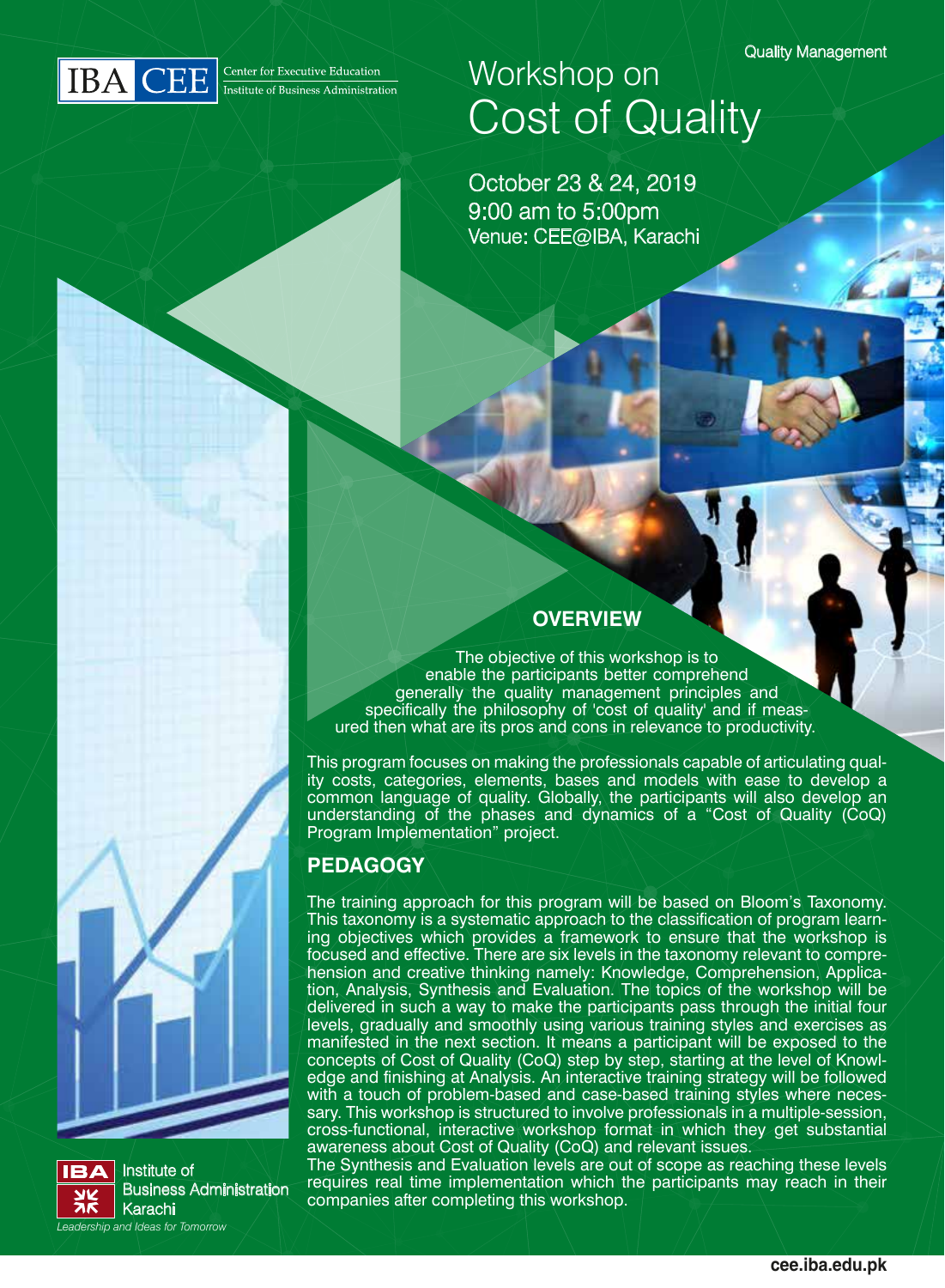Quality Management



# Workshop on Cost of Quality

October 23 & 24, 2019 9:00 am to 5:00pm Venue: CEE@IBA, Karachi

## **OVERVIEW**

The objective of this workshop is to enable the participants better comprehend generally the quality management principles and specifically the philosophy of 'cost of quality' and if measured then what are its pros and cons in relevance to productivity.

This program focuses on making the professionals capable of articulating quality costs, categories, elements, bases and models with ease to develop a common language of quality. Globally, the participants will also develop an understanding of the phases and dynamics of a "Cost of Quality (CoQ) Program Implementation" project.

### **PEDAGOGY**

The training approach for this program will be based on Bloom's Taxonomy. This taxonomy is a systematic approach to the classification of program learning objectives which provides a framework to ensure that the workshop is focused and effective. There are six levels in the taxonomy relevant to comprehension and creative thinking namely: Knowledge, Comprehension, Application, Analysis, Synthesis and Evaluation. The topics of the workshop will be delivered in such a way to make the participants pass through the initial four levels, gradually and smoothly using various training styles and exercises as manifested in the next section. It means a participant will be exposed to the concepts of Cost of Quality (CoQ) step by step, starting at the level of Knowledge and finishing at Analysis. An interactive training strategy will be followed with a touch of problem-based and case-based training styles where necessary. This workshop is structured to involve professionals in a multiple-session, cross-functional, interactive workshop format in which they get substantial awareness about Cost of Quality (CoQ) and relevant issues.

The Synthesis and Evaluation levels are out of scope as reaching these levels requires real time implementation which the participants may reach in their companies after completing this workshop.



Institute of Business Administration Karachi *Leadership and Ideas for Tomorrow*